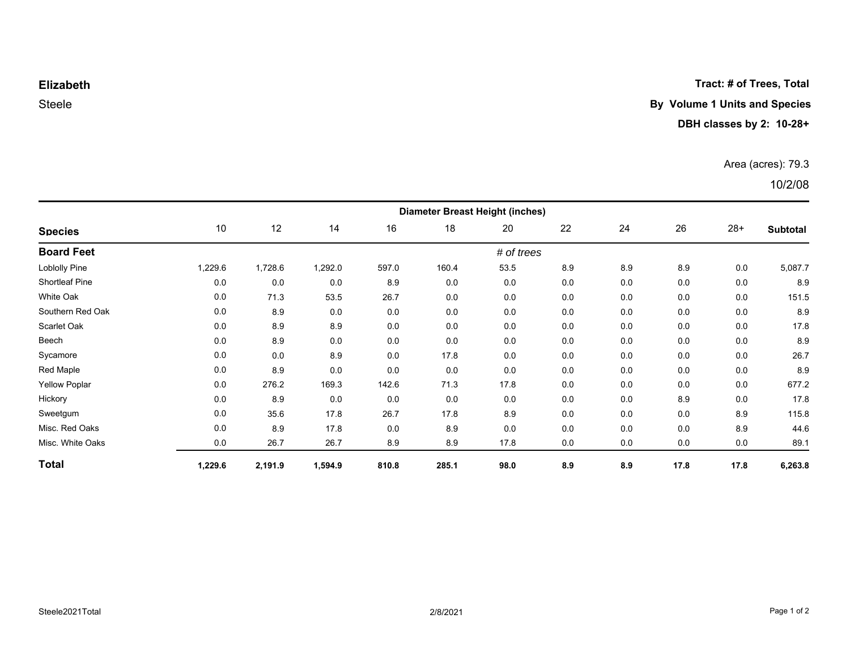**Tract: # of Trees, Total**

#### **Elizabeth**

# Steele **By Volume 1 Units and Species**

#### **DBH classes by 2: 10-28+**

#### Area (acres): 79.3

## 10/2/08

| <b>Species</b>        | <b>Diameter Breast Height (inches)</b> |         |         |       |       |      |     |     |      |       |          |  |
|-----------------------|----------------------------------------|---------|---------|-------|-------|------|-----|-----|------|-------|----------|--|
|                       | 10                                     | 12      | 14      | 16    | 18    | 20   | 22  | 24  | 26   | $28+$ | Subtotal |  |
| <b>Board Feet</b>     | # of trees                             |         |         |       |       |      |     |     |      |       |          |  |
| Loblolly Pine         | 1,229.6                                | 1,728.6 | 1,292.0 | 597.0 | 160.4 | 53.5 | 8.9 | 8.9 | 8.9  | 0.0   | 5,087.7  |  |
| <b>Shortleaf Pine</b> | 0.0                                    | 0.0     | 0.0     | 8.9   | 0.0   | 0.0  | 0.0 | 0.0 | 0.0  | 0.0   | 8.9      |  |
| White Oak             | 0.0                                    | 71.3    | 53.5    | 26.7  | 0.0   | 0.0  | 0.0 | 0.0 | 0.0  | 0.0   | 151.5    |  |
| Southern Red Oak      | 0.0                                    | 8.9     | 0.0     | 0.0   | 0.0   | 0.0  | 0.0 | 0.0 | 0.0  | 0.0   | 8.9      |  |
| Scarlet Oak           | 0.0                                    | 8.9     | 8.9     | 0.0   | 0.0   | 0.0  | 0.0 | 0.0 | 0.0  | 0.0   | 17.8     |  |
| Beech                 | 0.0                                    | 8.9     | 0.0     | 0.0   | 0.0   | 0.0  | 0.0 | 0.0 | 0.0  | 0.0   | 8.9      |  |
| Sycamore              | 0.0                                    | 0.0     | 8.9     | 0.0   | 17.8  | 0.0  | 0.0 | 0.0 | 0.0  | 0.0   | 26.7     |  |
| Red Maple             | 0.0                                    | 8.9     | 0.0     | 0.0   | 0.0   | 0.0  | 0.0 | 0.0 | 0.0  | 0.0   | 8.9      |  |
| <b>Yellow Poplar</b>  | 0.0                                    | 276.2   | 169.3   | 142.6 | 71.3  | 17.8 | 0.0 | 0.0 | 0.0  | 0.0   | 677.2    |  |
| Hickory               | 0.0                                    | 8.9     | 0.0     | 0.0   | 0.0   | 0.0  | 0.0 | 0.0 | 8.9  | 0.0   | 17.8     |  |
| Sweetgum              | 0.0                                    | 35.6    | 17.8    | 26.7  | 17.8  | 8.9  | 0.0 | 0.0 | 0.0  | 8.9   | 115.8    |  |
| Misc. Red Oaks        | 0.0                                    | 8.9     | 17.8    | 0.0   | 8.9   | 0.0  | 0.0 | 0.0 | 0.0  | 8.9   | 44.6     |  |
| Misc. White Oaks      | 0.0                                    | 26.7    | 26.7    | 8.9   | 8.9   | 17.8 | 0.0 | 0.0 | 0.0  | 0.0   | 89.1     |  |
| <b>Total</b>          | 1,229.6                                | 2,191.9 | 1,594.9 | 810.8 | 285.1 | 98.0 | 8.9 | 8.9 | 17.8 | 17.8  | 6,263.8  |  |